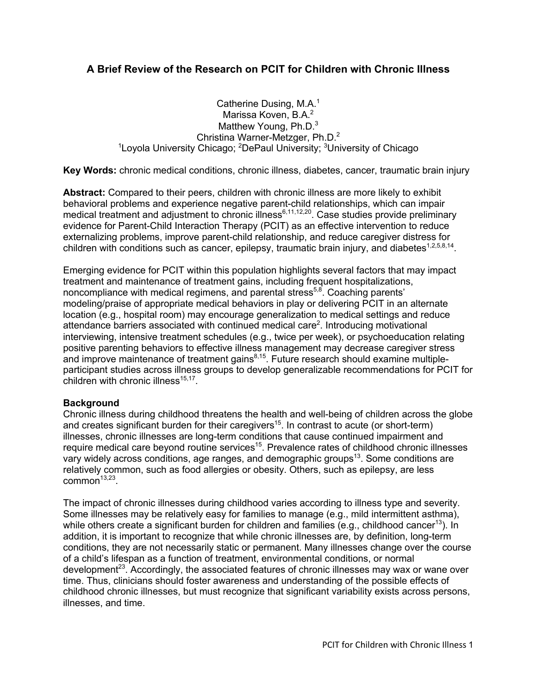# **A Brief Review of the Research on PCIT for Children with Chronic Illness**

Catherine Dusing, M.A.<sup>1</sup> Marissa Koven, B.A.<sup>2</sup> Matthew Young, Ph.D.<sup>3</sup> Christina Warner-Metzger, Ph.D.2 <sup>1</sup>Loyola University Chicago; <sup>2</sup>DePaul University; <sup>3</sup>University of Chicago

**Key Words:** chronic medical conditions, chronic illness, diabetes, cancer, traumatic brain injury

**Abstract:** Compared to their peers, children with chronic illness are more likely to exhibit behavioral problems and experience negative parent-child relationships, which can impair medical treatment and adjustment to chronic illness<sup>6,11,12,20</sup>. Case studies provide preliminary evidence for Parent-Child Interaction Therapy (PCIT) as an effective intervention to reduce externalizing problems, improve parent-child relationship, and reduce caregiver distress for children with conditions such as cancer, epilepsy, traumatic brain injury, and diabetes<sup>1,2,5,8,14</sup>.

Emerging evidence for PCIT within this population highlights several factors that may impact treatment and maintenance of treatment gains, including frequent hospitalizations, noncompliance with medical regimens, and parental stress<sup>5,8</sup>. Coaching parents' modeling/praise of appropriate medical behaviors in play or delivering PCIT in an alternate location (e.g., hospital room) may encourage generalization to medical settings and reduce attendance barriers associated with continued medical care<sup>2</sup>. Introducing motivational interviewing, intensive treatment schedules (e.g., twice per week), or psychoeducation relating positive parenting behaviors to effective illness management may decrease caregiver stress and improve maintenance of treatment gains $8,15$ . Future research should examine multipleparticipant studies across illness groups to develop generalizable recommendations for PCIT for children with chronic illness $15,17$ .

## **Background**

Chronic illness during childhood threatens the health and well-being of children across the globe and creates significant burden for their caregivers<sup>15</sup>. In contrast to acute (or short-term) illnesses, chronic illnesses are long-term conditions that cause continued impairment and require medical care beyond routine services<sup>15</sup>. Prevalence rates of childhood chronic illnesses vary widely across conditions, age ranges, and demographic groups<sup>13</sup>. Some conditions are relatively common, such as food allergies or obesity. Others, such as epilepsy, are less common $13,23$ .

The impact of chronic illnesses during childhood varies according to illness type and severity. Some illnesses may be relatively easy for families to manage (e.g., mild intermittent asthma), while others create a significant burden for children and families (e.g., childhood cancer<sup>13</sup>). In addition, it is important to recognize that while chronic illnesses are, by definition, long-term conditions, they are not necessarily static or permanent. Many illnesses change over the course of a child's lifespan as a function of treatment, environmental conditions, or normal development<sup>23</sup>. Accordingly, the associated features of chronic illnesses may wax or wane over time. Thus, clinicians should foster awareness and understanding of the possible effects of childhood chronic illnesses, but must recognize that significant variability exists across persons, illnesses, and time.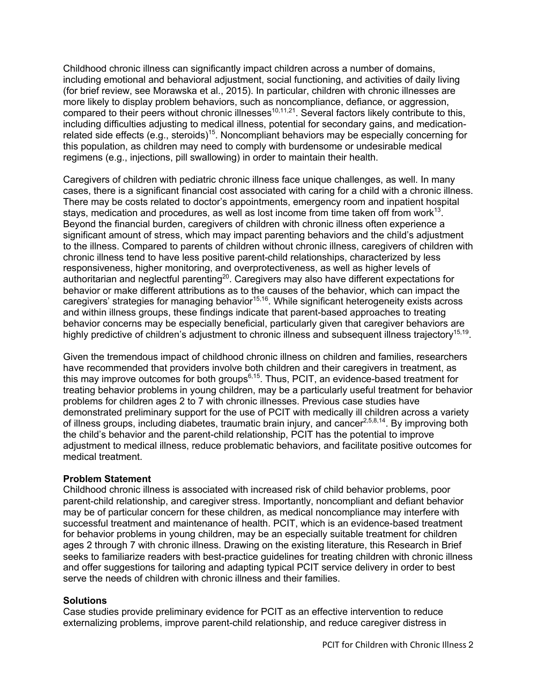Childhood chronic illness can significantly impact children across a number of domains, including emotional and behavioral adjustment, social functioning, and activities of daily living (for brief review, see Morawska et al., 2015). In particular, children with chronic illnesses are more likely to display problem behaviors, such as noncompliance, defiance, or aggression, compared to their peers without chronic illnesses<sup>10,11,21</sup>. Several factors likely contribute to this, including difficulties adjusting to medical illness, potential for secondary gains, and medicationrelated side effects (e.g., steroids)<sup>15</sup>. Noncompliant behaviors may be especially concerning for this population, as children may need to comply with burdensome or undesirable medical regimens (e.g., injections, pill swallowing) in order to maintain their health.

Caregivers of children with pediatric chronic illness face unique challenges, as well. In many cases, there is a significant financial cost associated with caring for a child with a chronic illness. There may be costs related to doctor's appointments, emergency room and inpatient hospital stays, medication and procedures, as well as lost income from time taken off from work $^{13}$ . Beyond the financial burden, caregivers of children with chronic illness often experience a significant amount of stress, which may impact parenting behaviors and the child's adjustment to the illness. Compared to parents of children without chronic illness, caregivers of children with chronic illness tend to have less positive parent-child relationships, characterized by less responsiveness, higher monitoring, and overprotectiveness, as well as higher levels of authoritarian and neglectful parenting<sup>20</sup>. Caregivers may also have different expectations for behavior or make different attributions as to the causes of the behavior, which can impact the caregivers' strategies for managing behavior<sup>15,16</sup>. While significant heterogeneity exists across and within illness groups, these findings indicate that parent-based approaches to treating behavior concerns may be especially beneficial, particularly given that caregiver behaviors are highly predictive of children's adjustment to chronic illness and subsequent illness trajectory<sup>15,19</sup>.

Given the tremendous impact of childhood chronic illness on children and families, researchers have recommended that providers involve both children and their caregivers in treatment, as this may improve outcomes for both groups $6,15$ . Thus, PCIT, an evidence-based treatment for treating behavior problems in young children, may be a particularly useful treatment for behavior problems for children ages 2 to 7 with chronic illnesses. Previous case studies have demonstrated preliminary support for the use of PCIT with medically ill children across a variety of illness groups, including diabetes, traumatic brain injury, and cancer<sup>2,5,8,14</sup>. By improving both the child's behavior and the parent-child relationship, PCIT has the potential to improve adjustment to medical illness, reduce problematic behaviors, and facilitate positive outcomes for medical treatment.

## **Problem Statement**

Childhood chronic illness is associated with increased risk of child behavior problems, poor parent-child relationship, and caregiver stress. Importantly, noncompliant and defiant behavior may be of particular concern for these children, as medical noncompliance may interfere with successful treatment and maintenance of health. PCIT, which is an evidence-based treatment for behavior problems in young children, may be an especially suitable treatment for children ages 2 through 7 with chronic illness. Drawing on the existing literature, this Research in Brief seeks to familiarize readers with best-practice guidelines for treating children with chronic illness and offer suggestions for tailoring and adapting typical PCIT service delivery in order to best serve the needs of children with chronic illness and their families.

#### **Solutions**

Case studies provide preliminary evidence for PCIT as an effective intervention to reduce externalizing problems, improve parent-child relationship, and reduce caregiver distress in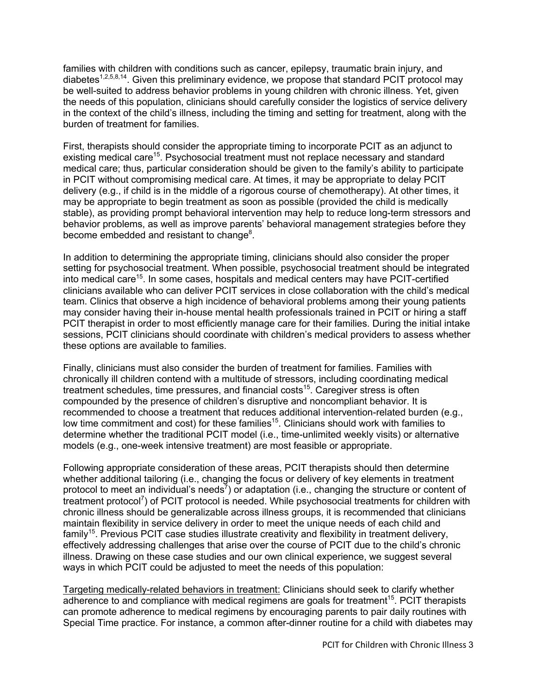families with children with conditions such as cancer, epilepsy, traumatic brain injury, and diabetes<sup>1,2,5,8,14</sup>. Given this preliminary evidence, we propose that standard PCIT protocol may be well-suited to address behavior problems in young children with chronic illness. Yet, given the needs of this population, clinicians should carefully consider the logistics of service delivery in the context of the child's illness, including the timing and setting for treatment, along with the burden of treatment for families.

First, therapists should consider the appropriate timing to incorporate PCIT as an adjunct to existing medical care<sup>15</sup>. Psychosocial treatment must not replace necessary and standard medical care; thus, particular consideration should be given to the family's ability to participate in PCIT without compromising medical care. At times, it may be appropriate to delay PCIT delivery (e.g., if child is in the middle of a rigorous course of chemotherapy). At other times, it may be appropriate to begin treatment as soon as possible (provided the child is medically stable), as providing prompt behavioral intervention may help to reduce long-term stressors and behavior problems, as well as improve parents' behavioral management strategies before they become embedded and resistant to change<sup>8</sup>.

In addition to determining the appropriate timing, clinicians should also consider the proper setting for psychosocial treatment. When possible, psychosocial treatment should be integrated into medical care<sup>15</sup>. In some cases, hospitals and medical centers may have PCIT-certified clinicians available who can deliver PCIT services in close collaboration with the child's medical team. Clinics that observe a high incidence of behavioral problems among their young patients may consider having their in-house mental health professionals trained in PCIT or hiring a staff PCIT therapist in order to most efficiently manage care for their families. During the initial intake sessions, PCIT clinicians should coordinate with children's medical providers to assess whether these options are available to families.

Finally, clinicians must also consider the burden of treatment for families. Families with chronically ill children contend with a multitude of stressors, including coordinating medical treatment schedules, time pressures, and financial costs<sup>15</sup>. Caregiver stress is often compounded by the presence of children's disruptive and noncompliant behavior. It is recommended to choose a treatment that reduces additional intervention-related burden (e.g., low time commitment and cost) for these families<sup>15</sup>. Clinicians should work with families to determine whether the traditional PCIT model (i.e., time-unlimited weekly visits) or alternative models (e.g., one-week intensive treatment) are most feasible or appropriate.

Following appropriate consideration of these areas, PCIT therapists should then determine whether additional tailoring (i.e., changing the focus or delivery of key elements in treatment protocol to meet an individual's needs<sup>7</sup>) or adaptation (i.e., changing the structure or content of treatment protocol<sup>7</sup>) of PCIT protocol is needed. While psychosocial treatments for children with chronic illness should be generalizable across illness groups, it is recommended that clinicians maintain flexibility in service delivery in order to meet the unique needs of each child and family<sup>15</sup>. Previous PCIT case studies illustrate creativity and flexibility in treatment delivery, effectively addressing challenges that arise over the course of PCIT due to the child's chronic illness. Drawing on these case studies and our own clinical experience, we suggest several ways in which PCIT could be adjusted to meet the needs of this population:

Targeting medically-related behaviors in treatment: Clinicians should seek to clarify whether adherence to and compliance with medical regimens are goals for treatment<sup>15</sup>. PCIT therapists can promote adherence to medical regimens by encouraging parents to pair daily routines with Special Time practice. For instance, a common after-dinner routine for a child with diabetes may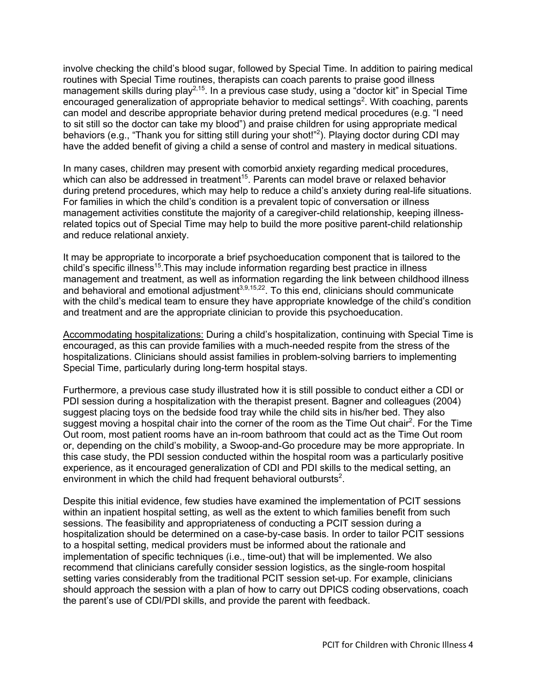involve checking the child's blood sugar, followed by Special Time. In addition to pairing medical routines with Special Time routines, therapists can coach parents to praise good illness management skills during play<sup>2,15</sup>. In a previous case study, using a "doctor kit" in Special Time encouraged generalization of appropriate behavior to medical settings<sup>2</sup>. With coaching, parents can model and describe appropriate behavior during pretend medical procedures (e.g. "I need to sit still so the doctor can take my blood") and praise children for using appropriate medical behaviors (e.g., "Thank you for sitting still during your shot!"<sup>2</sup>). Playing doctor during CDI may have the added benefit of giving a child a sense of control and mastery in medical situations.

In many cases, children may present with comorbid anxiety regarding medical procedures, which can also be addressed in treatment<sup>15</sup>. Parents can model brave or relaxed behavior during pretend procedures, which may help to reduce a child's anxiety during real-life situations. For families in which the child's condition is a prevalent topic of conversation or illness management activities constitute the majority of a caregiver-child relationship, keeping illnessrelated topics out of Special Time may help to build the more positive parent-child relationship and reduce relational anxiety.

It may be appropriate to incorporate a brief psychoeducation component that is tailored to the child's specific illness<sup>15</sup>. This may include information regarding best practice in illness management and treatment, as well as information regarding the link between childhood illness and behavioral and emotional adjustment<sup>3,9,15,22</sup>. To this end, clinicians should communicate with the child's medical team to ensure they have appropriate knowledge of the child's condition and treatment and are the appropriate clinician to provide this psychoeducation.

Accommodating hospitalizations: During a child's hospitalization, continuing with Special Time is encouraged, as this can provide families with a much-needed respite from the stress of the hospitalizations. Clinicians should assist families in problem-solving barriers to implementing Special Time, particularly during long-term hospital stays.

Furthermore, a previous case study illustrated how it is still possible to conduct either a CDI or PDI session during a hospitalization with the therapist present. Bagner and colleagues (2004) suggest placing toys on the bedside food tray while the child sits in his/her bed. They also suggest moving a hospital chair into the corner of the room as the Time Out chair<sup>2</sup>. For the Time Out room, most patient rooms have an in-room bathroom that could act as the Time Out room or, depending on the child's mobility, a Swoop-and-Go procedure may be more appropriate. In this case study, the PDI session conducted within the hospital room was a particularly positive experience, as it encouraged generalization of CDI and PDI skills to the medical setting, an environment in which the child had frequent behavioral outbursts<sup>2</sup>.

Despite this initial evidence, few studies have examined the implementation of PCIT sessions within an inpatient hospital setting, as well as the extent to which families benefit from such sessions. The feasibility and appropriateness of conducting a PCIT session during a hospitalization should be determined on a case-by-case basis. In order to tailor PCIT sessions to a hospital setting, medical providers must be informed about the rationale and implementation of specific techniques (i.e., time-out) that will be implemented. We also recommend that clinicians carefully consider session logistics, as the single-room hospital setting varies considerably from the traditional PCIT session set-up. For example, clinicians should approach the session with a plan of how to carry out DPICS coding observations, coach the parent's use of CDI/PDI skills, and provide the parent with feedback.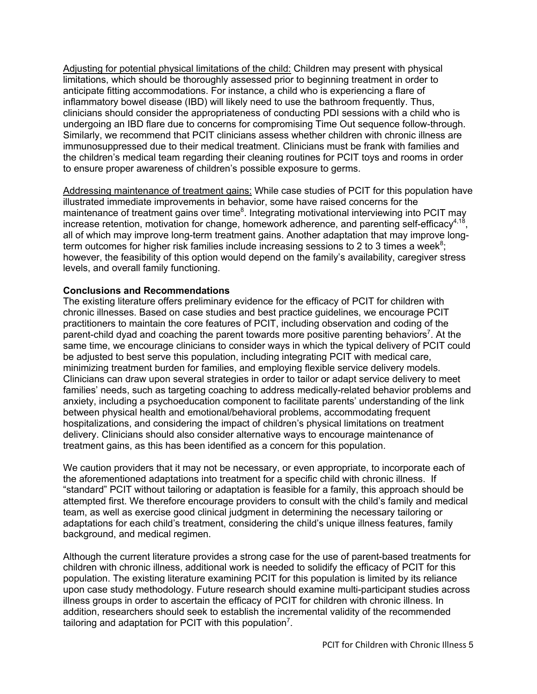Adjusting for potential physical limitations of the child: Children may present with physical limitations, which should be thoroughly assessed prior to beginning treatment in order to anticipate fitting accommodations. For instance, a child who is experiencing a flare of inflammatory bowel disease (IBD) will likely need to use the bathroom frequently. Thus, clinicians should consider the appropriateness of conducting PDI sessions with a child who is undergoing an IBD flare due to concerns for compromising Time Out sequence follow-through. Similarly, we recommend that PCIT clinicians assess whether children with chronic illness are immunosuppressed due to their medical treatment. Clinicians must be frank with families and the children's medical team regarding their cleaning routines for PCIT toys and rooms in order to ensure proper awareness of children's possible exposure to germs.

Addressing maintenance of treatment gains: While case studies of PCIT for this population have illustrated immediate improvements in behavior, some have raised concerns for the maintenance of treatment gains over time<sup>8</sup>. Integrating motivational interviewing into PCIT may increase retention, motivation for change, homework adherence, and parenting self-efficacy<sup>4,18</sup>. all of which may improve long-term treatment gains. Another adaptation that may improve longterm outcomes for higher risk families include increasing sessions to 2 to 3 times a week $8$ ; however, the feasibility of this option would depend on the family's availability, caregiver stress levels, and overall family functioning.

#### **Conclusions and Recommendations**

The existing literature offers preliminary evidence for the efficacy of PCIT for children with chronic illnesses. Based on case studies and best practice guidelines, we encourage PCIT practitioners to maintain the core features of PCIT, including observation and coding of the parent-child dyad and coaching the parent towards more positive parenting behaviors<sup>7</sup>. At the same time, we encourage clinicians to consider ways in which the typical delivery of PCIT could be adjusted to best serve this population, including integrating PCIT with medical care, minimizing treatment burden for families, and employing flexible service delivery models. Clinicians can draw upon several strategies in order to tailor or adapt service delivery to meet families' needs, such as targeting coaching to address medically-related behavior problems and anxiety, including a psychoeducation component to facilitate parents' understanding of the link between physical health and emotional/behavioral problems, accommodating frequent hospitalizations, and considering the impact of children's physical limitations on treatment delivery. Clinicians should also consider alternative ways to encourage maintenance of treatment gains, as this has been identified as a concern for this population.

We caution providers that it may not be necessary, or even appropriate, to incorporate each of the aforementioned adaptations into treatment for a specific child with chronic illness. If "standard" PCIT without tailoring or adaptation is feasible for a family, this approach should be attempted first. We therefore encourage providers to consult with the child's family and medical team, as well as exercise good clinical judgment in determining the necessary tailoring or adaptations for each child's treatment, considering the child's unique illness features, family background, and medical regimen.

Although the current literature provides a strong case for the use of parent-based treatments for children with chronic illness, additional work is needed to solidify the efficacy of PCIT for this population. The existing literature examining PCIT for this population is limited by its reliance upon case study methodology. Future research should examine multi-participant studies across illness groups in order to ascertain the efficacy of PCIT for children with chronic illness. In addition, researchers should seek to establish the incremental validity of the recommended tailoring and adaptation for PCIT with this population<sup>7</sup>.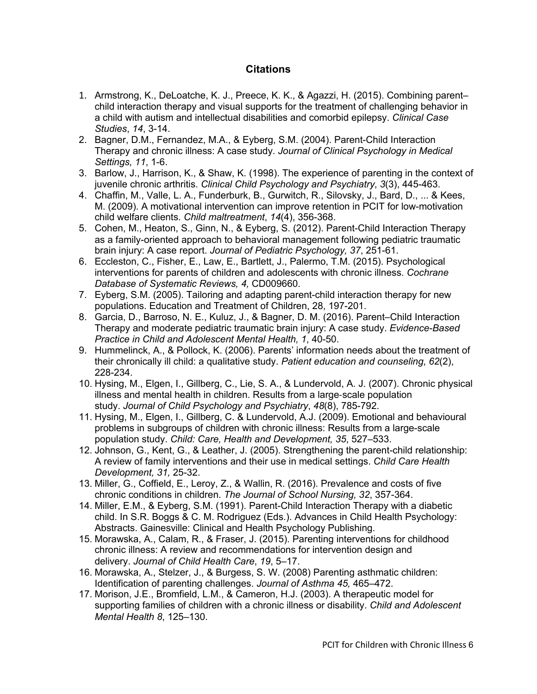## **Citations**

- 1. Armstrong, K., DeLoatche, K. J., Preece, K. K., & Agazzi, H. (2015). Combining parent– child interaction therapy and visual supports for the treatment of challenging behavior in a child with autism and intellectual disabilities and comorbid epilepsy. *Clinical Case Studies*, *14*, 3-14.
- 2. Bagner, D.M., Fernandez, M.A., & Eyberg, S.M. (2004). Parent-Child Interaction Therapy and chronic illness: A case study. *Journal of Clinical Psychology in Medical Settings, 11*, 1-6.
- 3. Barlow, J., Harrison, K., & Shaw, K. (1998). The experience of parenting in the context of juvenile chronic arthritis. *Clinical Child Psychology and Psychiatry*, *3*(3), 445-463.
- 4. Chaffin, M., Valle, L. A., Funderburk, B., Gurwitch, R., Silovsky, J., Bard, D., ... & Kees, M. (2009). A motivational intervention can improve retention in PCIT for low-motivation child welfare clients. *Child maltreatment*, *14*(4), 356-368.
- 5. Cohen, M., Heaton, S., Ginn, N., & Eyberg, S. (2012). Parent-Child Interaction Therapy as a family-oriented approach to behavioral management following pediatric traumatic brain injury: A case report. *Journal of Pediatric Psychology, 37*, 251-61.
- 6. Eccleston, C., Fisher, E., Law, E., Bartlett, J., Palermo, T.M. (2015). Psychological interventions for parents of children and adolescents with chronic illness. *Cochrane Database of Systematic Reviews, 4,* CD009660.
- 7. Eyberg, S.M. (2005). Tailoring and adapting parent-child interaction therapy for new populations. Education and Treatment of Children, 28, 197-201.
- 8. Garcia, D., Barroso, N. E., Kuluz, J., & Bagner, D. M. (2016). Parent–Child Interaction Therapy and moderate pediatric traumatic brain injury: A case study. *Evidence-Based Practice in Child and Adolescent Mental Health, 1*, 40-50.
- 9. Hummelinck, A., & Pollock, K. (2006). Parents' information needs about the treatment of their chronically ill child: a qualitative study. *Patient education and counseling*, *62*(2), 228-234.
- 10. Hysing, M., Elgen, I., Gillberg, C., Lie, S. A., & Lundervold, A. J. (2007). Chronic physical illness and mental health in children. Results from a large-scale population study. *Journal of Child Psychology and Psychiatry*, *48*(8), 785-792.
- 11. Hysing, M., Elgen, I., Gillberg, C. & Lundervold, A.J. (2009). Emotional and behavioural problems in subgroups of children with chronic illness: Results from a large-scale population study. *Child: Care, Health and Development, 35*, 527–533.
- 12. Johnson, G., Kent, G., & Leather, J. (2005). Strengthening the parent-child relationship: A review of family interventions and their use in medical settings. *Child Care Health Development, 31,* 25-32.
- 13. Miller, G., Coffield, E., Leroy, Z., & Wallin, R. (2016). Prevalence and costs of five chronic conditions in children. *The Journal of School Nursing, 32*, 357-364.
- 14. Miller, E.M., & Eyberg, S.M. (1991). Parent-Child Interaction Therapy with a diabetic child. In S.R. Boggs & C. M. Rodriguez (Eds.). Advances in Child Health Psychology: Abstracts. Gainesville: Clinical and Health Psychology Publishing.
- 15. Morawska, A., Calam, R., & Fraser, J. (2015). Parenting interventions for childhood chronic illness: A review and recommendations for intervention design and delivery. *Journal of Child Health Care*, *19*, 5–17.
- 16. Morawska, A., Stelzer, J., & Burgess, S. W. (2008) Parenting asthmatic children: Identification of parenting challenges. *Journal of Asthma 45,* 465–472.
- 17. Morison, J.E., Bromfield, L.M., & Cameron, H.J. (2003). A therapeutic model for supporting families of children with a chronic illness or disability. *Child and Adolescent Mental Health 8*, 125–130.